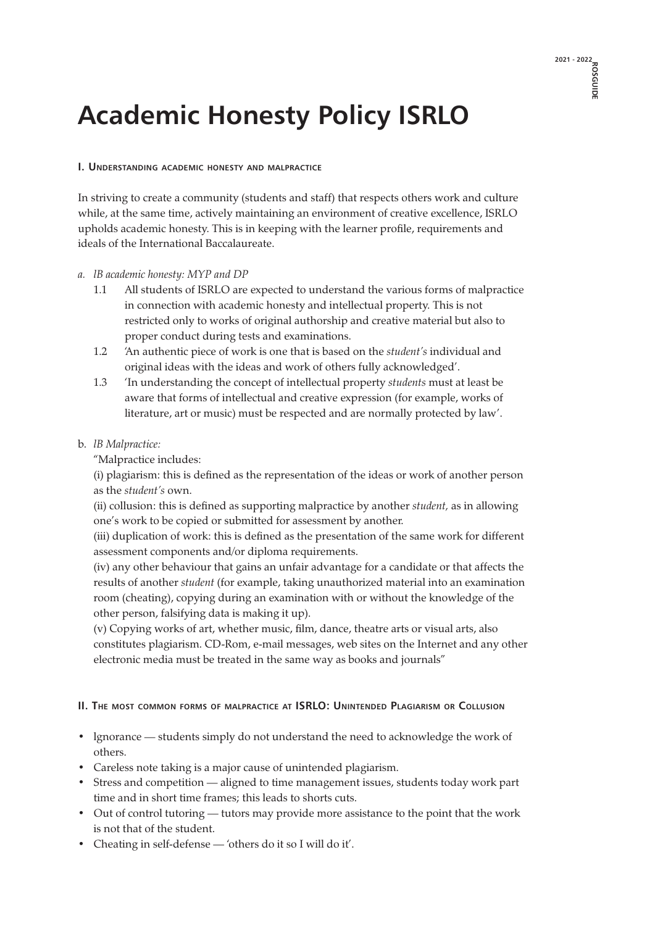# **Academic Honesty Policy ISRLO**

#### **I. Understanding academic honesty and malpractice**

In striving to create a community (students and staff) that respects others work and culture while, at the same time, actively maintaining an environment of creative excellence, ISRLO upholds academic honesty. This is in keeping with the learner profile, requirements and ideals of the International Baccalaureate.

#### *a. lB academic honesty: MYP and DP*

- 1.1 All students of ISRLO are expected to understand the various forms of malpractice in connection with academic honesty and intellectual property. This is not restricted only to works of original authorship and creative material but also to proper conduct during tests and examinations.
- 1.2 'An authentic piece of work is one that is based on the *student's* individual and original ideas with the ideas and work of others fully acknowledged'.
- 1.3 'In understanding the concept of intellectual property *students* must at least be aware that forms of intellectual and creative expression (for example, works of literature, art or music) must be respected and are normally protected by law'.

#### b. *lB Malpractice:*

"Malpractice includes:

 (i) plagiarism: this is defined as the representation of the ideas or work of another person as the *student's* own.

 (ii) collusion: this is defined as supporting malpractice by another *student,* as in allowing one's work to be copied or submitted for assessment by another.

 (iii) duplication of work: this is defined as the presentation of the same work for different assessment components and/or diploma requirements.

 (iv) any other behaviour that gains an unfair advantage for a candidate or that affects the results of another *student* (for example, taking unauthorized material into an examination room (cheating), copying during an examination with or without the knowledge of the other person, falsifying data is making it up).

 (v) Copying works of art, whether music, film, dance, theatre arts or visual arts, also constitutes plagiarism. CD-Rom, e-mail messages, web sites on the Internet and any other electronic media must be treated in the same way as books and journals"

#### **II. The most common forms of malpractice at ISRLO: Unintended Plagiarism or Collusion**

- lgnorance students simply do not understand the need to acknowledge the work of others.
- Careless note taking is a major cause of unintended plagiarism.
- Stress and competition aligned to time management issues, students today work part time and in short time frames; this leads to shorts cuts.
- Out of control tutoring tutors may provide more assistance to the point that the work is not that of the student.
- Cheating in self-defense 'others do it so I will do it'.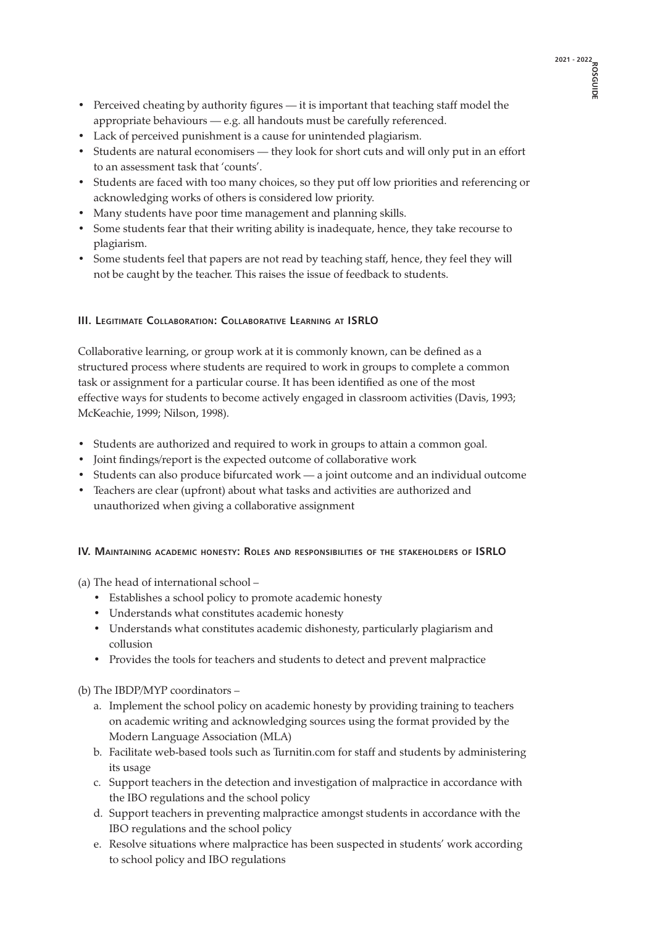- Perceived cheating by authority figures it is important that teaching staff model the appropriate behaviours — e.g. all handouts must be carefully referenced.
- Lack of perceived punishment is a cause for unintended plagiarism.
- Students are natural economisers they look for short cuts and will only put in an effort to an assessment task that 'counts'.
- Students are faced with too many choices, so they put off low priorities and referencing or acknowledging works of others is considered low priority.
- Many students have poor time management and planning skills.
- Some students fear that their writing ability is inadequate, hence, they take recourse to plagiarism.
- Some students feel that papers are not read by teaching staff, hence, they feel they will not be caught by the teacher. This raises the issue of feedback to students.

# **III. Legitimate Collaboration: Collaborative Learning at ISRLO**

Collaborative learning, or group work at it is commonly known, can be defined as a structured process where students are required to work in groups to complete a common task or assignment for a particular course. It has been identified as one of the most effective ways for students to become actively engaged in classroom activities (Davis, 1993; McKeachie, 1999; Nilson, 1998).

- Students are authorized and required to work in groups to attain a common goal.
- Joint findings/report is the expected outcome of collaborative work
- Students can also produce bifurcated work a joint outcome and an individual outcome
- Teachers are clear (upfront) about what tasks and activities are authorized and unauthorized when giving a collaborative assignment

# **IV. Maintaining academic honesty: Roles and responsibilities of the stakeholders of ISRLO**

(a) The head of international school –

- Establishes a school policy to promote academic honesty
- Understands what constitutes academic honesty
- Understands what constitutes academic dishonesty, particularly plagiarism and collusion
- Provides the tools for teachers and students to detect and prevent malpractice

(b) The IBDP/MYP coordinators –

- a. Implement the school policy on academic honesty by providing training to teachers on academic writing and acknowledging sources using the format provided by the Modern Language Association (MLA)
- b. Facilitate web-based tools such as Turnitin.com for staff and students by administering its usage
- c. Support teachers in the detection and investigation of malpractice in accordance with the IBO regulations and the school policy
- d. Support teachers in preventing malpractice amongst students in accordance with the IBO regulations and the school policy
- e. Resolve situations where malpractice has been suspected in students' work according to school policy and IBO regulations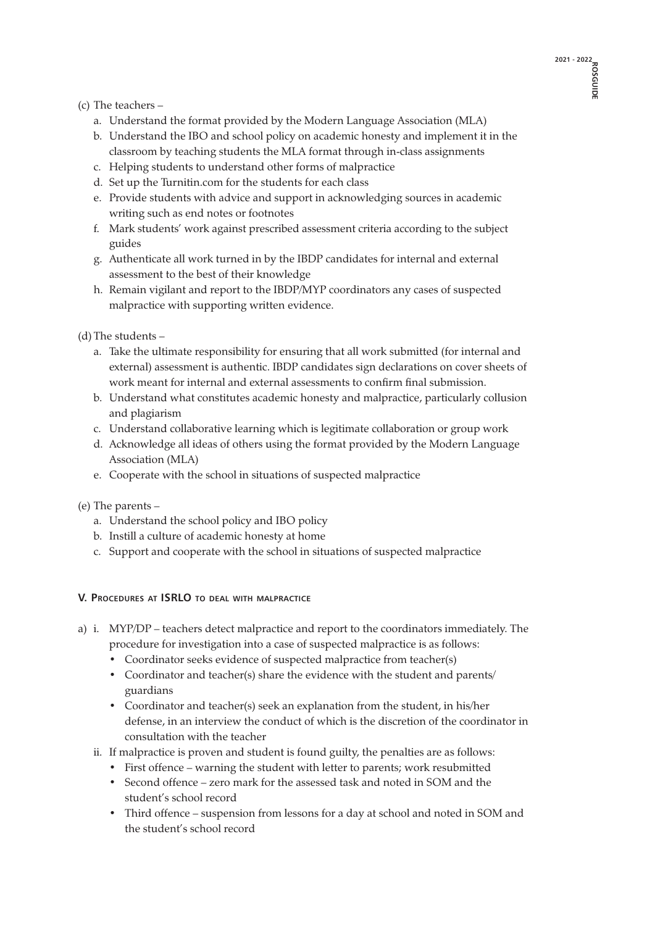# (c) The teachers –

- a. Understand the format provided by the Modern Language Association (MLA)
- b. Understand the IBO and school policy on academic honesty and implement it in the classroom by teaching students the MLA format through in-class assignments
- c. Helping students to understand other forms of malpractice
- d. Set up the Turnitin.com for the students for each class
- e. Provide students with advice and support in acknowledging sources in academic writing such as end notes or footnotes
- f. Mark students' work against prescribed assessment criteria according to the subject guides
- g. Authenticate all work turned in by the IBDP candidates for internal and external assessment to the best of their knowledge
- h. Remain vigilant and report to the IBDP/MYP coordinators any cases of suspected malpractice with supporting written evidence.

(d) The students –

- a. Take the ultimate responsibility for ensuring that all work submitted (for internal and external) assessment is authentic. IBDP candidates sign declarations on cover sheets of work meant for internal and external assessments to confirm final submission.
- b. Understand what constitutes academic honesty and malpractice, particularly collusion and plagiarism
- c. Understand collaborative learning which is legitimate collaboration or group work
- d. Acknowledge all ideas of others using the format provided by the Modern Language Association (MLA)
- e. Cooperate with the school in situations of suspected malpractice
- (e) The parents
	- a. Understand the school policy and IBO policy
	- b. Instill a culture of academic honesty at home
	- c. Support and cooperate with the school in situations of suspected malpractice

# **V. Procedures at ISRLO to deal with malpractice**

- a) i. MYP/DP teachers detect malpractice and report to the coordinators immediately. The procedure for investigation into a case of suspected malpractice is as follows:
	- Coordinator seeks evidence of suspected malpractice from teacher(s)
	- Coordinator and teacher(s) share the evidence with the student and parents/ guardians
	- Coordinator and teacher(s) seek an explanation from the student, in his/her defense, in an interview the conduct of which is the discretion of the coordinator in consultation with the teacher
	- ii. If malpractice is proven and student is found guilty, the penalties are as follows:
		- First offence warning the student with letter to parents; work resubmitted
		- Second offence zero mark for the assessed task and noted in SOM and the student's school record
		- Third offence suspension from lessons for a day at school and noted in SOM and the student's school record